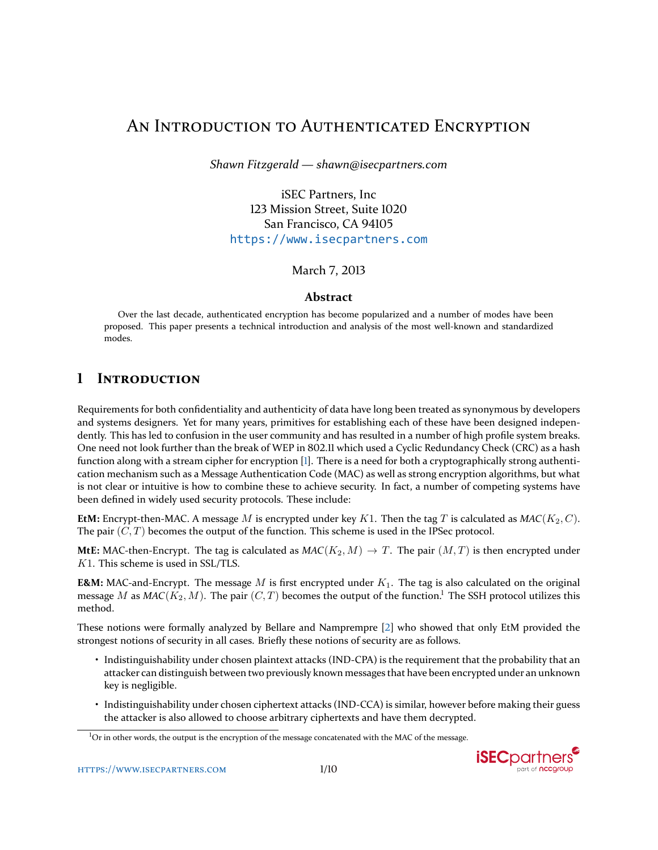# AN INTRODUCTION TO AUTHENTICATED ENCRYPTION

*Shawn Fitzgerald — shawn@isecpartners.com*

iSEC Partners, Inc 123 Mission Street, Suite 1020 San Francisco, CA 94105 <https://www.isecpartners.com>

March 7, 2013

#### **Abstract**

Over the last decade, authenticated encryption has become popularized and a number of modes have been proposed. This paper presents a technical introduction and analysis of the most well-known and standardized modes.

## **1 INTRODUCTION**

Requirements for both confidentiality and authenticity of data have long been treated as synonymous by developers and systems designers. Yet for many years, primitives for establishing each of these have been designed independently. This has led to confusion in the user community and has resulted in a number of high profile system breaks. One need not look further than the break of WEP in 802.11 which used a Cyclic Redundancy Check (CRC) as a hash function along with a stream cipher for encryption [\[1\]](#page-9-0). There is a need for both a cryptographically strong authentication mechanism such as a Message Authentication Code (MAC) as well as strong encryption algorithms, but what is not clear or intuitive is how to combine these to achieve security. In fact, a number of competing systems have been defined in widely used security protocols. These include:

**EtM:** Encrypt-then-MAC. A message M is encrypted under key K1. Then the tag T is calculated as  $MAC(K_2, C)$ . The pair  $(C, T)$  becomes the output of the function. This scheme is used in the IPSec protocol.

**MtE:** MAC-then-Encrypt. The tag is calculated as  $MAC(K_2, M) \rightarrow T$ . The pair  $(M, T)$  is then encrypted under K1. This scheme is used in SSL/TLS.

**E&M:** MAC-and-Encrypt. The message M is first encrypted under  $K_1$ . The tag is also calculated on the original message M as  $MAC(K_2, M)$ . The pair  $(C, T)$  becomes the output of the function.<sup>[1](#page-0-0)</sup> The SSH protocol utilizes this method.

These notions were formally analyzed by Bellare and Namprempre [\[2\]](#page-9-1) who showed that only EtM provided the strongest notions of security in all cases. Briefly these notions of security are as follows.

- Indistinguishability under chosen plaintext attacks (IND-CPA) is the requirement that the probability that an attacker can distinguish between two previously known messages that have been encrypted under an unknown key is negligible.
- Indistinguishability under chosen ciphertext attacks (IND-CCA) is similar, however before making their guess the attacker is also allowed to choose arbitrary ciphertexts and have them decrypted.

<span id="page-0-0"></span><sup>&</sup>lt;sup>1</sup>Or in other words, the output is the encryption of the message concatenated with the MAC of the message.

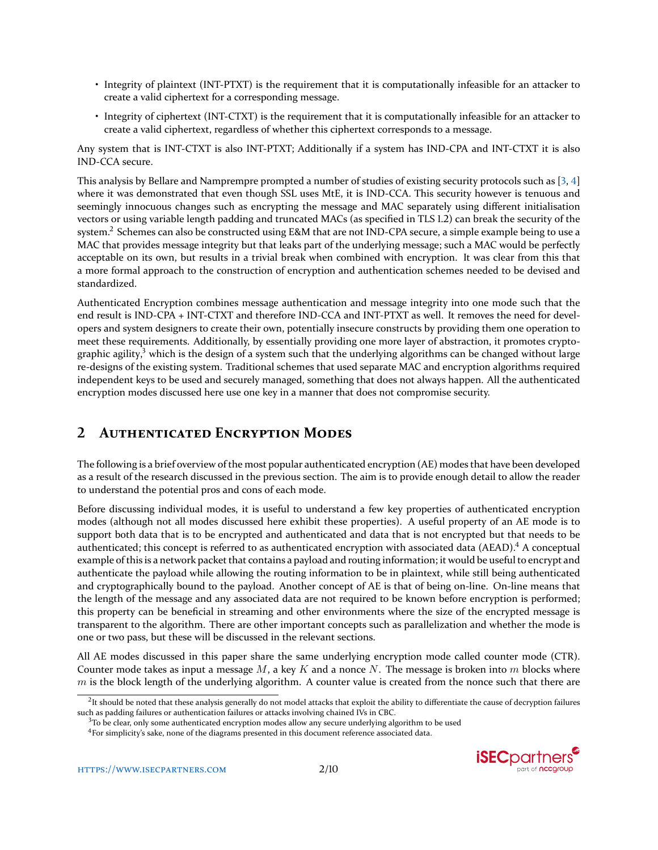- Integrity of plaintext (INT-PTXT) is the requirement that it is computationally infeasible for an attacker to create a valid ciphertext for a corresponding message.
- Integrity of ciphertext (INT-CTXT) is the requirement that it is computationally infeasible for an attacker to create a valid ciphertext, regardless of whether this ciphertext corresponds to a message.

Any system that is INT-CTXT is also INT-PTXT; Additionally if a system has IND-CPA and INT-CTXT it is also IND-CCA secure.

This analysis by Bellare and Namprempre prompted a number of studies of existing security protocols such as [\[3,](#page-9-3) [4\]](#page-9-4) where it was demonstrated that even though SSL uses MtE, it is IND-CCA. This security however is tenuous and seemingly innocuous changes such as encrypting the message and MAC separately using different initialisation vectors or using variable length padding and truncated MACs (as specified in TLS 1.2) can break the security of the system.<sup>[2](#page-1-0)</sup> Schemes can also be constructed using E&M that are not IND-CPA secure, a simple example being to use a MAC that provides message integrity but that leaks part of the underlying message; such a MAC would be perfectly acceptable on its own, but results in a trivial break when combined with encryption. It was clear from this that a more formal approach to the construction of encryption and authentication schemes needed to be devised and standardized.

Authenticated Encryption combines message authentication and message integrity into one mode such that the end result is IND-CPA + INT-CTXT and therefore IND-CCA and INT-PTXT as well. It removes the need for developers and system designers to create their own, potentially insecure constructs by providing them one operation to meet these requirements. Additionally, by essentially providing one more layer of abstraction, it promotes cryptographic agility, $3$  which is the design of a system such that the underlying algorithms can be changed without large re-designs of the existing system. Traditional schemes that used separate MAC and encryption algorithms required independent keys to be used and securely managed, something that does not always happen. All the authenticated encryption modes discussed here use one key in a manner that does not compromise security.

# **2 AUTHENTICATED ENCRYPTION MODES**

The following is a brief overview of the most popular authenticated encryption (AE) modes that have been developed as a result of the research discussed in the previous section. The aim is to provide enough detail to allow the reader to understand the potential pros and cons of each mode.

Before discussing individual modes, it is useful to understand a few key properties of authenticated encryption modes (although not all modes discussed here exhibit these properties). A useful property of an AE mode is to support both data that is to be encrypted and authenticated and data that is not encrypted but that needs to be authenticated; this concept is referred to as authenticated encryption with associated data (AEAD).<sup>[4](#page-1-2)</sup> A conceptual example of this is a network packet that contains a payload and routing information; it would be useful to encrypt and authenticate the payload while allowing the routing information to be in plaintext, while still being authenticated and cryptographically bound to the payload. Another concept of AE is that of being on-line. On-line means that the length of the message and any associated data are not required to be known before encryption is performed; this property can be beneficial in streaming and other environments where the size of the encrypted message is transparent to the algorithm. There are other important concepts such as parallelization and whether the mode is one or two pass, but these will be discussed in the relevant sections.

All AE modes discussed in this paper share the same underlying encryption mode called counter mode (CTR). Counter mode takes as input a message  $M$ , a key  $K$  and a nonce N. The message is broken into  $m$  blocks where  $m$  is the block length of the underlying algorithm. A counter value is created from the nonce such that there are

<span id="page-1-2"></span><sup>&</sup>lt;sup>4</sup>For simplicity's sake, none of the diagrams presented in this document reference associated data.



<span id="page-1-0"></span> ${}^{2}$ It should be noted that these analysis generally do not model attacks that exploit the ability to differentiate the cause of decryption failures such as padding failures or authentication failures or attacks involving chained IVs in CBC.

<span id="page-1-1"></span> $3$ To be clear, only some authenticated encryption modes allow any secure underlying algorithm to be used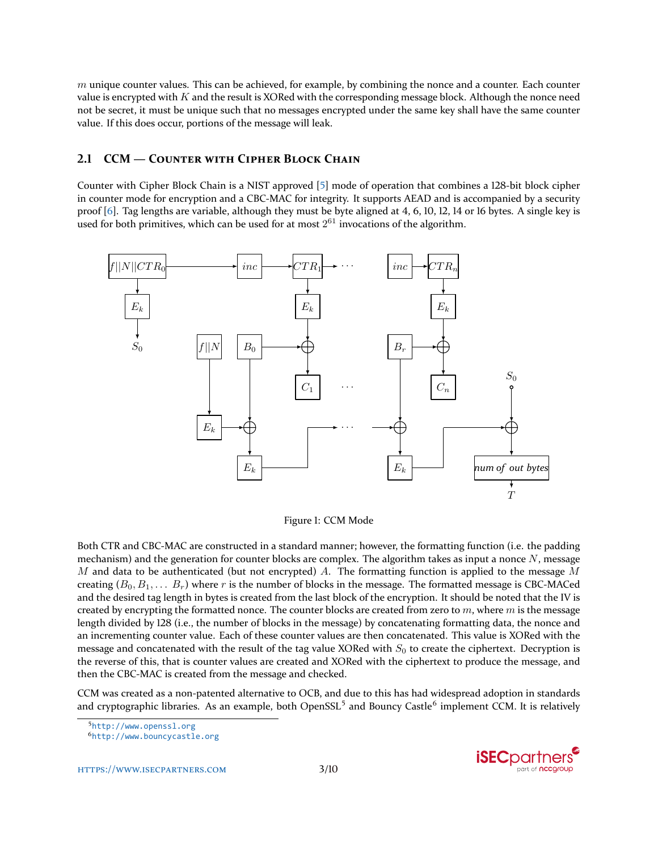$m$  unique counter values. This can be achieved, for example, by combining the nonce and a counter. Each counter value is encrypted with  $K$  and the result is XORed with the corresponding message block. Although the nonce need not be secret, it must be unique such that no messages encrypted under the same key shall have the same counter value. If this does occur, portions of the message will leak.

## **2.1 CCM — COUNTER WITH CIPHER BLOCK CHAIN**

Counter with Cipher Block Chain is a NIST approved [\[5\]](#page-9-5) mode of operation that combines a 128-bit block cipher in counter mode for encryption and a CBC-MAC for integrity. It supports AEAD and is accompanied by a security proof [\[6\]](#page-9-6). Tag lengths are variable, although they must be byte aligned at 4, 6, 10, 12, 14 or 16 bytes. A single key is used for both primitives, which can be used for at most  $2^{61}$  invocations of the algorithm.



Figure 1: CCM Mode

Both CTR and CBC-MAC are constructed in a standard manner; however, the formatting function (i.e. the padding mechanism) and the generation for counter blocks are complex. The algorithm takes as input a nonce  $N$ , message M and data to be authenticated (but not encrypted) A. The formatting function is applied to the message M creating  $(B_0, B_1, \ldots B_r)$  where r is the number of blocks in the message. The formatted message is CBC-MACed and the desired tag length in bytes is created from the last block of the encryption. It should be noted that the IV is created by encrypting the formatted nonce. The counter blocks are created from zero to  $m$ , where  $m$  is the message length divided by 128 (i.e., the number of blocks in the message) by concatenating formatting data, the nonce and an incrementing counter value. Each of these counter values are then concatenated. This value is XORed with the message and concatenated with the result of the tag value XORed with  $S_0$  to create the ciphertext. Decryption is the reverse of this, that is counter values are created and XORed with the ciphertext to produce the message, and then the CBC-MAC is created from the message and checked.

CCM was created as a non-patented alternative to OCB, and due to this has had widespread adoption in standards and cryptographic libraries. As an example, both OpenSSL<sup>[5](#page-2-0)</sup> and Bouncy Castle<sup>[6](#page-2-1)</sup> implement CCM. It is relatively

<span id="page-2-0"></span><sup>5</sup><http://www.openssl.org>

[HTTPS://WWW.ISECPARTNERS.COM](https://www.isecpartners.com) 3[/10](#page-9-2)



<span id="page-2-1"></span><sup>6</sup><http://www.bouncycastle.org>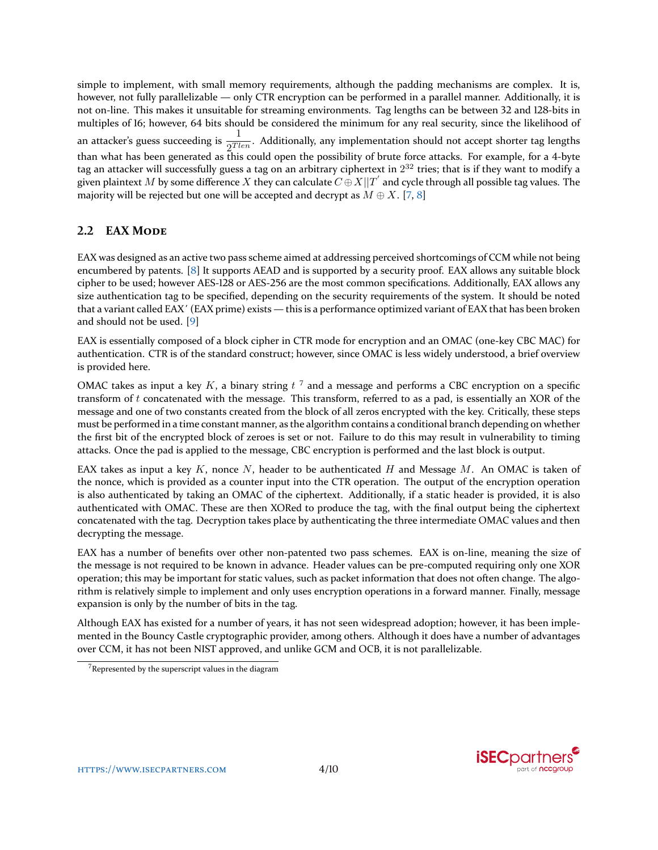simple to implement, with small memory requirements, although the padding mechanisms are complex. It is, however, not fully parallelizable — only CTR encryption can be performed in a parallel manner. Additionally, it is not on-line. This makes it unsuitable for streaming environments. Tag lengths can be between 32 and 128-bits in multiples of 16; however, 64 bits should be considered the minimum for any real security, since the likelihood of an attacker's guess succeeding is  $\frac{1}{2^{Tlen}}$ . Additionally, any implementation should not accept shorter tag lengths than what has been generated as this could open the possibility of brute force attacks. For example, for a 4-byte tag an attacker will successfully guess a tag on an arbitrary ciphertext in  $2^{32}$  tries; that is if they want to modify a given plaintext  $M$  by some difference  $X$  they can calculate  $C\oplus X||T^{'}$  and cycle through all possible tag values. The majority will be rejected but one will be accepted and decrypt as  $M \oplus X$ . [\[7,](#page-9-7) [8\]](#page-9-8)

### **2.2 EAX MODE**

EAX was designed as an active two pass scheme aimed at addressing perceived shortcomings of CCM while not being encumbered by patents. [\[8\]](#page-9-8) It supports AEAD and is supported by a security proof. EAX allows any suitable block cipher to be used; however AES-128 or AES-256 are the most common specifications. Additionally, EAX allows any size authentication tag to be specified, depending on the security requirements of the system. It should be noted that a variant called EAX΄ (EAX prime) exists — this is a performance optimized variant of EAX that has been broken and should not be used. [\[9\]](#page-9-9)

EAX is essentially composed of a block cipher in CTR mode for encryption and an OMAC (one-key CBC MAC) for authentication. CTR is of the standard construct; however, since OMAC is less widely understood, a brief overview is provided here.

OMAC takes as input a key K, a binary string  $t^{-7}$  $t^{-7}$  $t^{-7}$  and a message and performs a CBC encryption on a specific transform of  $t$  concatenated with the message. This transform, referred to as a pad, is essentially an XOR of the message and one of two constants created from the block of all zeros encrypted with the key. Critically, these steps must be performed in a time constant manner, as the algorithm contains a conditional branch depending on whether the first bit of the encrypted block of zeroes is set or not. Failure to do this may result in vulnerability to timing attacks. Once the pad is applied to the message, CBC encryption is performed and the last block is output.

EAX takes as input a key  $K$ , nonce N, header to be authenticated H and Message M. An OMAC is taken of the nonce, which is provided as a counter input into the CTR operation. The output of the encryption operation is also authenticated by taking an OMAC of the ciphertext. Additionally, if a static header is provided, it is also authenticated with OMAC. These are then XORed to produce the tag, with the final output being the ciphertext concatenated with the tag. Decryption takes place by authenticating the three intermediate OMAC values and then decrypting the message.

EAX has a number of benefits over other non-patented two pass schemes. EAX is on-line, meaning the size of the message is not required to be known in advance. Header values can be pre-computed requiring only one XOR operation; this may be important for static values, such as packet information that does not often change. The algorithm is relatively simple to implement and only uses encryption operations in a forward manner. Finally, message expansion is only by the number of bits in the tag.

Although EAX has existed for a number of years, it has not seen widespread adoption; however, it has been implemented in the Bouncy Castle cryptographic provider, among others. Although it does have a number of advantages over CCM, it has not been NIST approved, and unlike GCM and OCB, it is not parallelizable.



<span id="page-3-0"></span> $7$ Represented by the superscript values in the diagram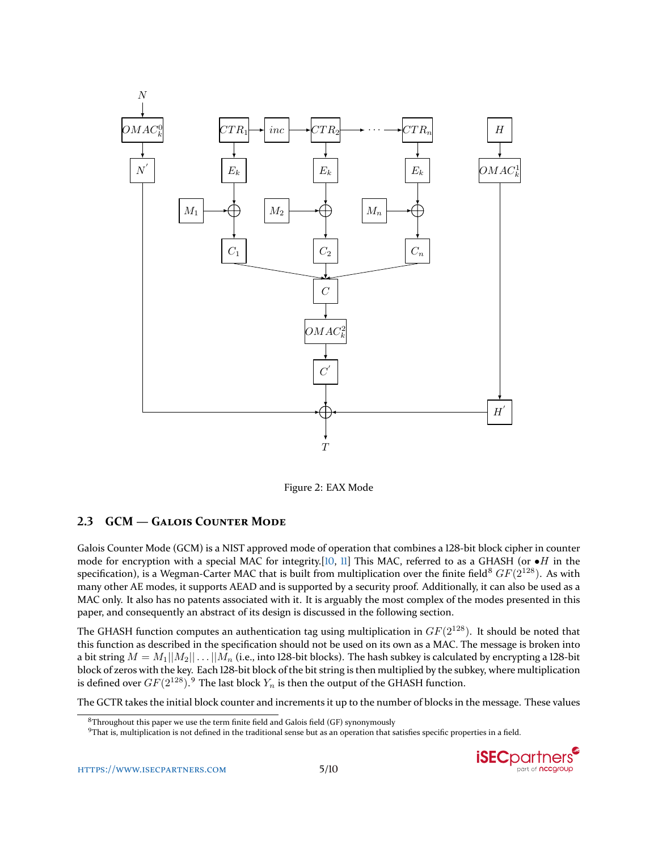

Figure 2: EAX Mode

#### **2.3 GCM — GALOIS COUNTER MODE**

Galois Counter Mode (GCM) is a NIST approved mode of operation that combines a 128-bit block cipher in counter mode for encryption with a special MAC for integrity.[\[10,](#page-9-10) [11\]](#page-9-11) This MAC, referred to as a GHASH (or  $\bullet$ H in the specification), is a Wegman-Carter MAC that is built from multiplication over the finite field<sup>[8](#page-4-0)</sup>  $GF(2^{128})$ . As with many other AE modes, it supports AEAD and is supported by a security proof. Additionally, it can also be used as a MAC only. It also has no patents associated with it. It is arguably the most complex of the modes presented in this paper, and consequently an abstract of its design is discussed in the following section.

The GHASH function computes an authentication tag using multiplication in  $GF(2^{128})$ . It should be noted that this function as described in the specification should not be used on its own as a MAC. The message is broken into a bit string  $M = M_1||M_2|| \dots ||M_n$  (i.e., into 128-bit blocks). The hash subkey is calculated by encrypting a 128-bit block of zeros with the key. Each 128-bit block of the bit string is then multiplied by the subkey, where multiplication is defined over  $GF(2^{128}).$   $^9$  $^9$  The last block  $Y_n$  is then the output of the GHASH function.

The GCTR takes the initial block counter and increments it up to the number of blocks in the message. These values

<span id="page-4-1"></span> $9$ That is, multiplication is not defined in the traditional sense but as an operation that satisfies specific properties in a field.



<span id="page-4-0"></span><sup>&</sup>lt;sup>8</sup>Throughout this paper we use the term finite field and Galois field (GF) synonymously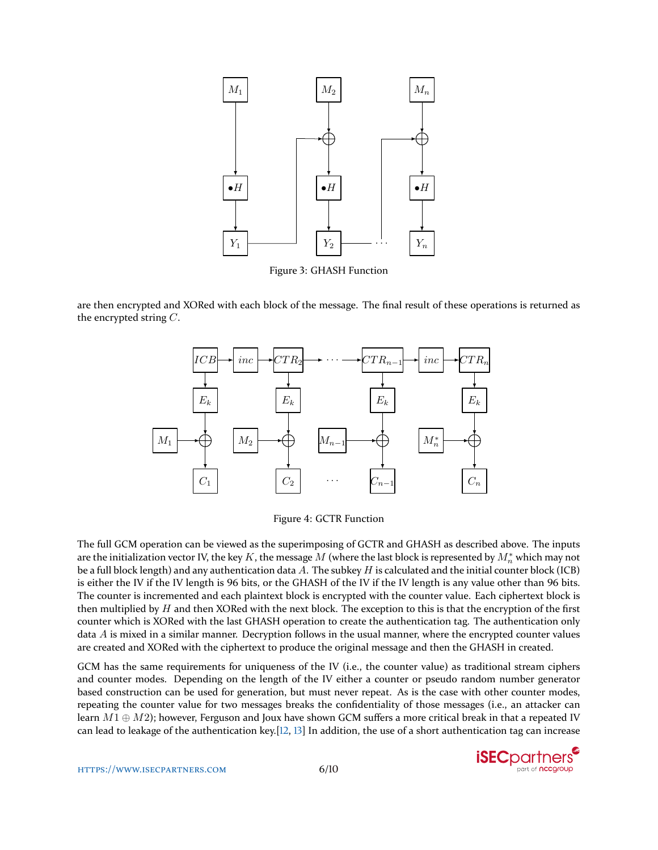

Figure 3: GHASH Function

are then encrypted and XORed with each block of the message. The final result of these operations is returned as the encrypted string C.



Figure 4: GCTR Function

The full GCM operation can be viewed as the superimposing of GCTR and GHASH as described above. The inputs are the initialization vector IV, the key  $K$ , the message  $M$  (where the last block is represented by  $M_n^*$  which may not be a full block length) and any authentication data A. The subkey H is calculated and the initial counter block (ICB) is either the IV if the IV length is 96 bits, or the GHASH of the IV if the IV length is any value other than 96 bits. The counter is incremented and each plaintext block is encrypted with the counter value. Each ciphertext block is then multiplied by  $H$  and then XORed with the next block. The exception to this is that the encryption of the first counter which is XORed with the last GHASH operation to create the authentication tag. The authentication only data  $A$  is mixed in a similar manner. Decryption follows in the usual manner, where the encrypted counter values are created and XORed with the ciphertext to produce the original message and then the GHASH in created.

GCM has the same requirements for uniqueness of the IV (i.e., the counter value) as traditional stream ciphers and counter modes. Depending on the length of the IV either a counter or pseudo random number generator based construction can be used for generation, but must never repeat. As is the case with other counter modes, repeating the counter value for two messages breaks the confidentiality of those messages (i.e., an attacker can learn  $M1 \oplus M2$ ); however, Ferguson and Joux have shown GCM suffers a more critical break in that a repeated IV can lead to leakage of the authentication key.[\[12,](#page-9-12) [13\]](#page-9-13) In addition, the use of a short authentication tag can increase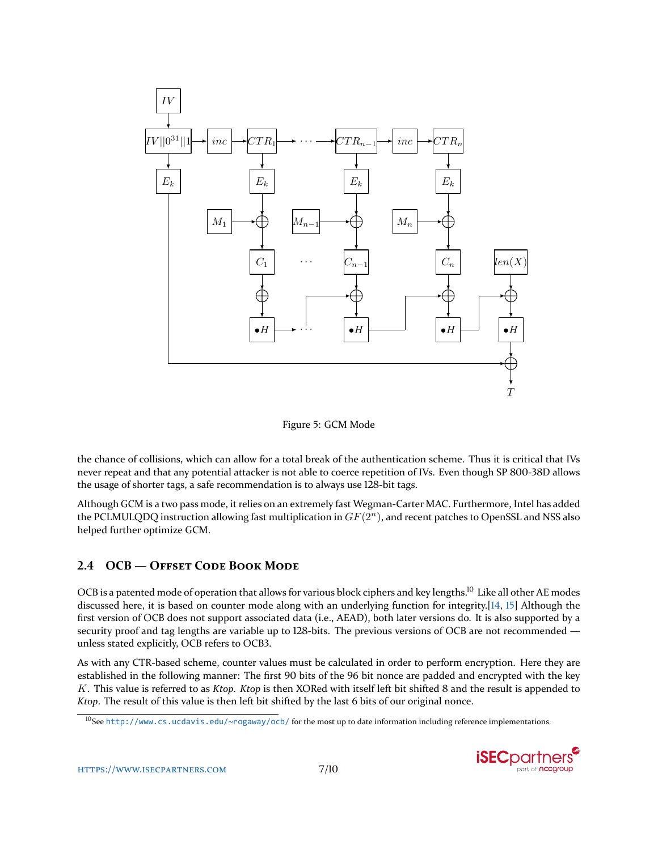

Figure 5: GCM Mode

the chance of collisions, which can allow for a total break of the authentication scheme. Thus it is critical that IVs never repeat and that any potential attacker is not able to coerce repetition of IVs. Even though SP 800-38D allows the usage of shorter tags, a safe recommendation is to always use 128-bit tags.

Although GCM is a two pass mode, it relies on an extremely fast Wegman-Carter MAC. Furthermore, Intel has added the PCLMULQDQ instruction allowing fast multiplication in  $GF(2^n)$ , and recent patches to OpenSSL and NSS also helped further optimize GCM.

## **2.4 OCB — OFFSET CODE BOOK MODE**

OCB is a patented mode of operation that allows for various block ciphers and key lengths.<sup>[10](#page-6-0)</sup> Like all other AE modes discussed here, it is based on counter mode along with an underlying function for integrity.[\[14,](#page-9-14) [15\]](#page-9-15) Although the first version of OCB does not support associated data (i.e., AEAD), both later versions do. It is also supported by a security proof and tag lengths are variable up to 128-bits. The previous versions of OCB are not recommended unless stated explicitly, OCB refers to OCB3.

As with any CTR-based scheme, counter values must be calculated in order to perform encryption. Here they are established in the following manner: The first 90 bits of the 96 bit nonce are padded and encrypted with the key K. This value is referred to as *Ktop*. *Ktop* is then XORed with itself left bit shifted 8 and the result is appended to *Ktop*. The result of this value is then left bit shifted by the last 6 bits of our original nonce.

<span id="page-6-0"></span> $10$ See <http://www.cs.ucdavis.edu/~rogaway/ocb/> for the most up to date information including reference implementations.

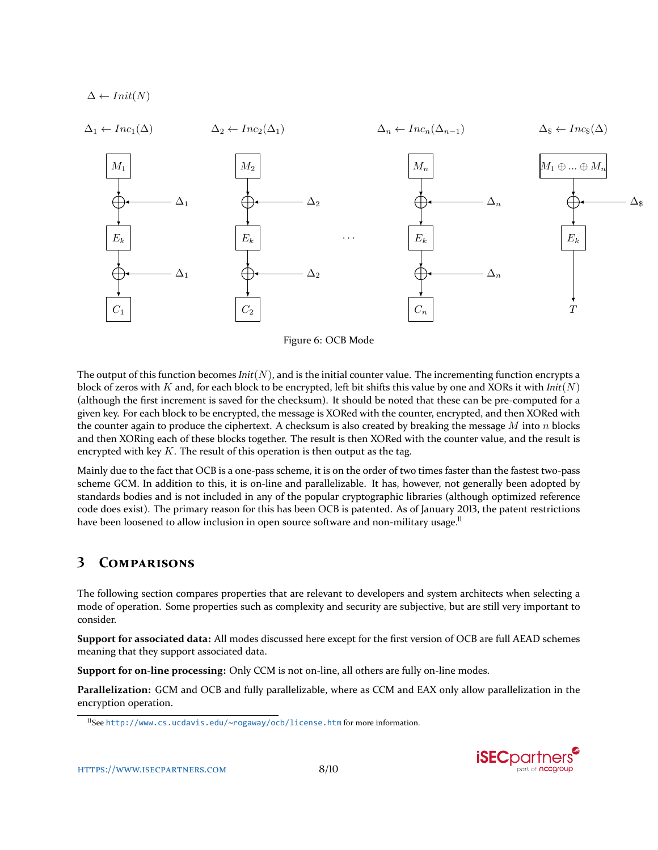

Figure 6: OCB Mode

The output of this function becomes  $Init(N)$ , and is the initial counter value. The incrementing function encrypts a block of zeros with K and, for each block to be encrypted, left bit shifts this value by one and XORs it with  $Init(N)$ (although the first increment is saved for the checksum). It should be noted that these can be pre-computed for a given key. For each block to be encrypted, the message is XORed with the counter, encrypted, and then XORed with the counter again to produce the ciphertext. A checksum is also created by breaking the message  $M$  into  $n$  blocks and then XORing each of these blocks together. The result is then XORed with the counter value, and the result is encrypted with key  $K$ . The result of this operation is then output as the tag.

Mainly due to the fact that OCB is a one-pass scheme, it is on the order of two times faster than the fastest two-pass scheme GCM. In addition to this, it is on-line and parallelizable. It has, however, not generally been adopted by standards bodies and is not included in any of the popular cryptographic libraries (although optimized reference code does exist). The primary reason for this has been OCB is patented. As of January 2013, the patent restrictions have been loosened to allow inclusion in open source software and non-military usage.<sup>[11](#page-7-0)</sup>

# **3 COMPARISONS**

The following section compares properties that are relevant to developers and system architects when selecting a mode of operation. Some properties such as complexity and security are subjective, but are still very important to consider.

**Support for associated data:** All modes discussed here except for the first version of OCB are full AEAD schemes meaning that they support associated data.

**Support for on-line processing:** Only CCM is not on-line, all others are fully on-line modes.

**Parallelization:** GCM and OCB and fully parallelizable, where as CCM and EAX only allow parallelization in the encryption operation.



<span id="page-7-0"></span><sup>11</sup>See <http://www.cs.ucdavis.edu/~rogaway/ocb/license.htm> for more information.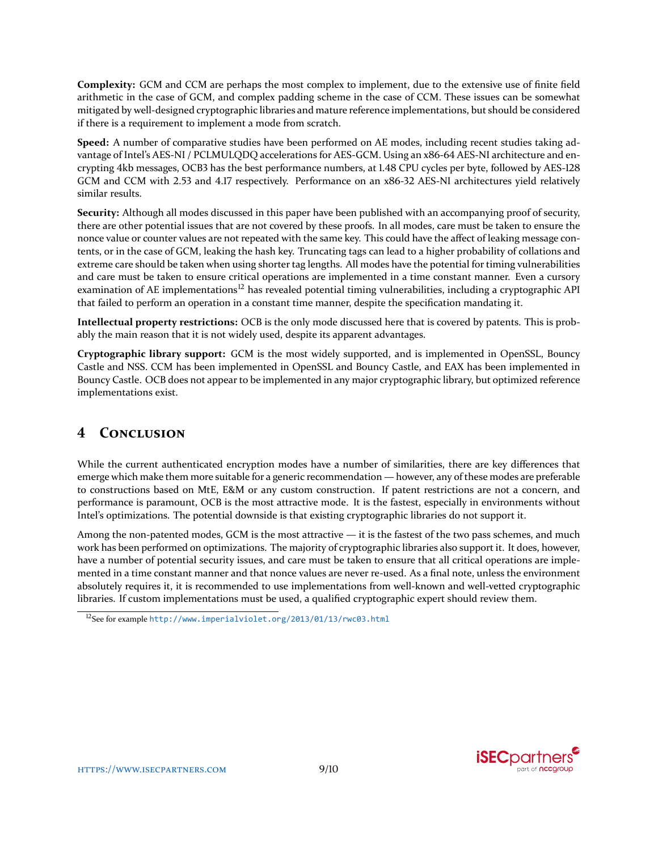**Complexity:** GCM and CCM are perhaps the most complex to implement, due to the extensive use of finite field arithmetic in the case of GCM, and complex padding scheme in the case of CCM. These issues can be somewhat mitigated by well-designed cryptographic libraries and mature reference implementations, but should be considered if there is a requirement to implement a mode from scratch.

**Speed:** A number of comparative studies have been performed on AE modes, including recent studies taking advantage of Intel's AES-NI / PCLMULQDQ accelerations for AES-GCM. Using an x86-64 AES-NI architecture and encrypting 4kb messages, OCB3 has the best performance numbers, at 1.48 CPU cycles per byte, followed by AES-128 GCM and CCM with 2.53 and 4.17 respectively. Performance on an x86-32 AES-NI architectures yield relatively similar results.

**Security:** Although all modes discussed in this paper have been published with an accompanying proof of security, there are other potential issues that are not covered by these proofs. In all modes, care must be taken to ensure the nonce value or counter values are not repeated with the same key. This could have the affect of leaking message contents, or in the case of GCM, leaking the hash key. Truncating tags can lead to a higher probability of collations and extreme care should be taken when using shorter tag lengths. All modes have the potential for timing vulnerabilities and care must be taken to ensure critical operations are implemented in a time constant manner. Even a cursory examination of AE implementations<sup>[12](#page-8-0)</sup> has revealed potential timing vulnerabilities, including a cryptographic API that failed to perform an operation in a constant time manner, despite the specification mandating it.

**Intellectual property restrictions:** OCB is the only mode discussed here that is covered by patents. This is probably the main reason that it is not widely used, despite its apparent advantages.

**Cryptographic library support:** GCM is the most widely supported, and is implemented in OpenSSL, Bouncy Castle and NSS. CCM has been implemented in OpenSSL and Bouncy Castle, and EAX has been implemented in Bouncy Castle. OCB does not appear to be implemented in any major cryptographic library, but optimized reference implementations exist.

# **4 CONCLUSION**

While the current authenticated encryption modes have a number of similarities, there are key differences that emerge which make them more suitable for a generic recommendation — however, any of these modes are preferable to constructions based on MtE, E&M or any custom construction. If patent restrictions are not a concern, and performance is paramount, OCB is the most attractive mode. It is the fastest, especially in environments without Intel's optimizations. The potential downside is that existing cryptographic libraries do not support it.

Among the non-patented modes, GCM is the most attractive — it is the fastest of the two pass schemes, and much work has been performed on optimizations. The majority of cryptographic libraries also support it. It does, however, have a number of potential security issues, and care must be taken to ensure that all critical operations are implemented in a time constant manner and that nonce values are never re-used. As a final note, unless the environment absolutely requires it, it is recommended to use implementations from well-known and well-vetted cryptographic libraries. If custom implementations must be used, a qualified cryptographic expert should review them.



<span id="page-8-0"></span><sup>12</sup>See for example <http://www.imperialviolet.org/2013/01/13/rwc03.html>